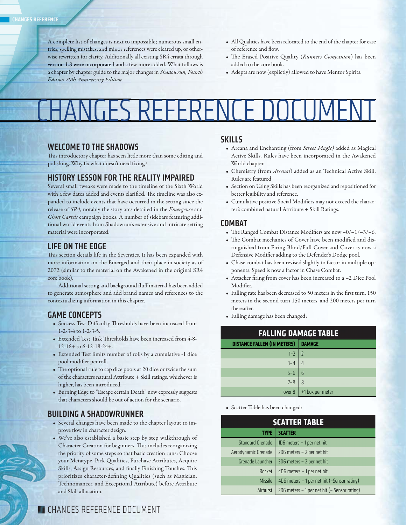A complete list of changes is next to impossible; numerous small entries, spelling mistakes, and minor references were cleared up, or otherwise rewritten for clarity. Additionally all existing SR4 errata through version 1.8 were incorporated and a few more added. What follows is a chapter by chapter guide to the major changes in Shadowrun, Fourth *Edition 20th Anniversary Edition.*

- All Qualities have been relocated to the end of the chapter for ease of reference and flow.
- The Erased Positive Quality (*Runners Companion*) has been added to the core book.
- Adepts are now (explictly) allowed to have Mentor Spirits.

# CHANGES REFERENCE DOCUMENT

## **WELCOME TO THE SHADOWS**

This introductory chapter has seen little more than some editing and polishing. Why fix what doesn't need fixing?

# **HISTORY LESSON FOR THE REALITY IMPAIRED**

Several small tweaks were made to the timeline of the Sixth World with a few dates added and events clarified. The timeline was also expanded to include events that have occurred in the setting since the release of *SR4*, notably the story arcs detailed in the *Emergence* and *Ghost Cartels* campaign books. A number of sidebars featuring additional world events from Shadowrun's extensive and intricate setting material were incorporated.

## **LIFE ON THE EDGE**

This section details life in the Seventies. It has been expanded with more information on the Emerged and their place in society as of 2072 (similar to the material on the Awakened in the original SR4 core book).

Additional setting and background fluff material has been added to generate atmosphere and add brand names and references to the contextualizing information in this chapter.

## **GAME CONCEPTS**

- Success Test Difficulty Thresholds have been increased from 1-2-3-4 to 1-2-3-5.
- Extended Test Task Thresholds have been increased from 4-8-12-16+ to 6-12-18-24+.
- Extended Test limits number of rolls by a cumulative -1 dice pool modifier per roll.
- The optional rule to cap dice pools at 20 dice or twice the sum of the characters natural Attribute + Skill ratings, whichever is higher, has been introduced.
- Burning Edge to "Escape certain Death" now expressly suggests that characters should be out of action for the scenario.

## **BUILDING A SHADOWRUNNER**

- Several changes have been made to the chapter layout to improve flow in character design.
- We've also established a basic step by step walkthrough of Character Creation for beginners. This includes reorganizing the priority of some steps so that basic creation runs: Choose your Metatype, Pick Qualities, Purchase Attributes, Acquire Skills, Assign Resources, and finally Finishing Touches. This prioritizes character-defining Qualities (such as Magician, Technomancer, and Exceptional Attribute) before Attribute and Skill allocation.

#### **SKILLS**

- Arcana and Enchanting (from *Street Magic)* added as Magical Active Skills. Rules have been incorporated in the Awakened World chapter.
- Chemistry (from *Arsenal*) added as an Technical Active Skill. Rules are featured
- Section on Using Skills has been reorganized and repositioned for better legibility and reference.
- Cumulative positive Social Modifiers may not exceed the character's combined natural Attribute + Skill Ratings.

## **COMBAT**

- The Ranged Combat Distance Modifiers are now  $-0/-1/-3/-6$ .
- The Combat mechanics of Cover have been modified and distinguished from Firing Blind/Full Cover and Cover is now a Defensive Modifier adding to the Defender's Dodge pool.
- Chase combat has been revised slightly to factor in multiple opponents. Speed is now a factor in Chase Combat.
- Attacker firing from cover has been increased to a -2 Dice Pool Modifier.
- Falling rate has been decreased to 50 meters in the first turn, 150 meters in the second turn 150 meters, and 200 meters per turn thereafter.
- Falling damage has been changed:

| <b>FALLING DAMAGE TABLE</b>        |                                |
|------------------------------------|--------------------------------|
| DISTANCE FALLEN (IN METERS) DAMAGE |                                |
| $1 - 2 \mid 2$                     |                                |
| $3 - 4$ 4                          |                                |
| $5 - 6$ 6                          |                                |
| $7 - 8$   8                        |                                |
|                                    | over $8 \mid +1$ box per meter |

**•** Scatter Table has been changed:

|                         | <b>SCATTER TABLE</b>                             |
|-------------------------|--------------------------------------------------|
| TYPE                    | <b>SCATTER</b>                                   |
| <b>Standard Grenade</b> | 1D6 meters $-1$ per net hit                      |
| Aerodynamic Grenade     | $2D6$ meters $-2$ per net hit                    |
| Grenade Launcher        | $3D6$ meters $-2$ per net hit                    |
| Rocket                  | 4D6 meters - 1 per net hit                       |
| Missile                 | 4D6 meters - 1 per net hit (-Sensor rating)      |
| Airburst                | 2D6 meters $-1$ per net hit ( $-$ Sensor rating) |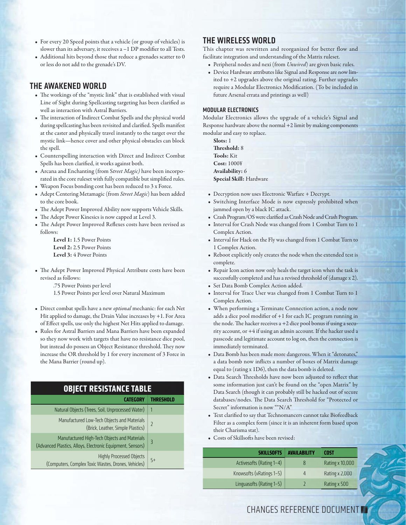- For every 20 Speed points that a vehicle (or group of vehicles) is slower than its adversary, it receives  $a - 1$  DP modifier to all Tests.
- Additional hits beyond those that reduce a grenades scatter to 0 or less do not add to the grenade's DV.

#### **THE AWAKENED WORLD**

- The workings of the "mystic link" that is established with visual Line of Sight during Spellcasting targeting has been clarified as well as interaction with Astral Barriers.
- The interaction of Indirect Combat Spells and the physical world during spellcasting has been revisited and clarified. Spells manifest at the caster and physically travel instantly to the target over the mystic link—hence cover and other physical obstacles can block the spell.
- Counterspelling interaction with Direct and Indirect Combat Spells has been clarified, it works against both.
- Arcana and Enchanting (from S*treet Magic)* have been incorporated in the core ruleset with fully compatible but simplified rules.
- Weapon Focus bonding cost has been reduced to 3 x Force.
- Adept Centering Metamagic (from *Street Magic*) has been added to the core book.
- The Adept Power Improved Ability now supports Vehicle Skills.
- The Adept Power Kinesics is now capped at Level 3.
- The Adept Power Improved Reflexes costs have been revised as follows:

**Level 1:** 1.5 Power Points **Level 2:** 2.5 Power Points **Level 3:** 4 Power Points

- The Adept Power Improved Physical Attribute costs have been revised as follows:
	- .75 Power Points per level
	- 1.5 Power Points per level over Natural Maximum
- Direct combat spells have a new *optional* mechanic: for each Net Hit applied to damage, the Drain Value increases by +1. For Area of Effect spells, use only the highest Net Hits applied to damage.
- Rules for Astral Barriers and Mana Barriers have been expanded so they now work with targets that have no resistance dice pool, but instead do possess an Object Resistance threshold. They now increase the OR threshold by 1 for every increment of 3 Force in the Mana Barrier (round up).

#### **OBJECT RESISTANCE TABLE**

| Natural Objects (Trees, Soil, Unprocessed Water)                                                           |                |
|------------------------------------------------------------------------------------------------------------|----------------|
| Manufactured Low-Tech Objects and Materials<br>(Brick, Leather, Simple Plastics)                           | $\overline{2}$ |
| Manufactured High-Tech Objects and Materials<br>(Advanced Plastics, Alloys, Electronic Equipment, Sensors) | $\overline{3}$ |
| <b>Highly Processed Objects</b><br>(Computers, Complex Toxic Wastes, Drones, Vehicles)                     | $5+$           |

#### **THE WIRELESS WORLD**

This chapter was rewritten and reorganized for better flow and facilitate integration and understanding of the Matrix ruleset.

- Peripheral nodes and nexi (from *Unwired*) are given basic rules.
- Device Hardware attributes like Signal and Response are now limited to +2 upgrades above the original rating. Further upgrades require a Modular Electronics Modification. (To be included in future Arsenal errata and printings as well)

#### **MODULAR ELECTRONICS**

Modular Electronics allows the upgrade of a vehicle's Signal and Response hardware above the normal +2 limit by making components modular and easy to replace.

**Slots:** 1 **Th reshold:** 8 **Tools:** Kit **Cost:** 1000¥ **Availability:** 6 **Special Skill:** Hardware

- Decryption now uses Electronic Warfare + Decrypt.
- Switching Interface Mode is now expressly prohibited when jammed open by a black IC attack.
- Crash Program/OS were clarified as Crash Node and Crash Program.
- Interval for Crash Node was changed from 1 Combat Turn to 1 Complex Action.
- Interval for Hack on the Fly was changed from 1 Combat Turn to 1 Complex Action.
- Reboot explicitly only creates the node when the extended test is complete.
- Repair Icon action now only heals the target icon when the task is successfully completed and has a revised threshold of (damage x 2).
- Set Data Bomb Complex Action added.
- Interval for Trace User was changed from 1 Combat Turn to 1 Complex Action.
- When performing a Terminate Connection action, a node now adds a dice pool modifier of  $+1$  for each IC program running in the node. The hacker receives a +2 dice pool bonus if using a security account, or +4 if using an admin account. If the hacker used a passcode and legitimate account to log on, then the connection is immediately terminated.
- Data Bomb has been made more dangerous. When it "detonates," a data bomb now inflicts a number of boxes of Matrix damage equal to (rating x 1D6), then the data bomb is deleted.
- Data Search Thresholds have now been adjusted to reflect that some information just can't be found on the "open Matrix" by Data Search (though it can probably still be hacked out of secure databases/nodes. The Data Search Threshold for "Protected or Secret" information is now ""N/A"
- Text clarified to say that Technomancers cannot take Biofeedback Filter as a complex form (since it is an inherent form based upon their Charisma stat).
- Costs of Skillsofts have been revised:

| <b>SKILLSOFTS</b>        | <b>AVAILABILITY</b> | <b>COST</b>     |
|--------------------------|---------------------|-----------------|
| Activesofts (Rating 1-4) | 8                   | Rating x 10,000 |
| Knowsofts (vRatings 1-5) | Δ                   | Rating x 2,000  |
| Linguasofts (Rating 1-5) |                     | Rating x 500    |